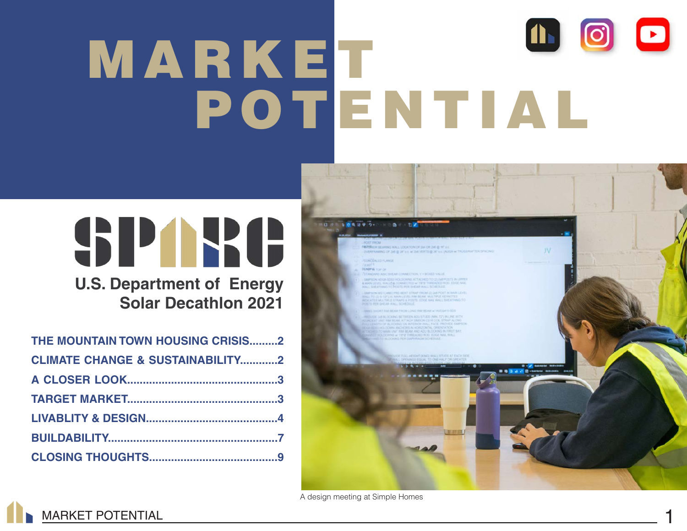# 1600 MARKET POTENTIAL

# SPARE

**U.S. Department of Energy Solar Decathlon 2021**

| THE MOUNTAIN TOWN HOUSING CRISIS2           |  |
|---------------------------------------------|--|
| <b>CLIMATE CHANGE &amp; SUSTAINABILITY2</b> |  |
|                                             |  |
|                                             |  |
|                                             |  |
|                                             |  |
|                                             |  |

**MARKET POTENTIAL** 



A design meeting at Simple Homes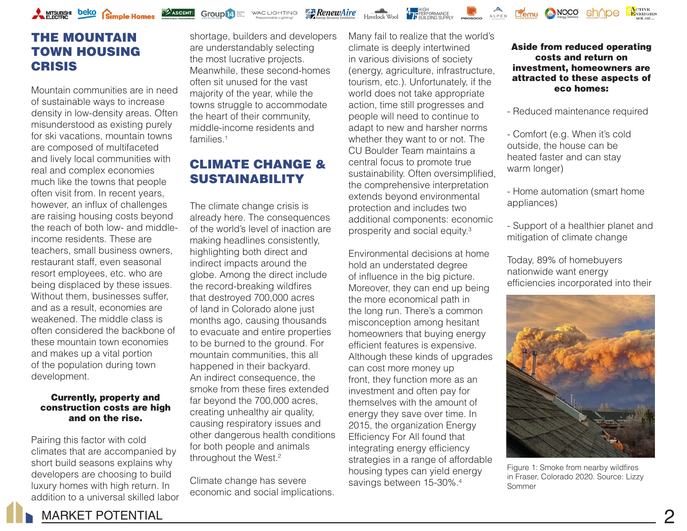

# THE MOUNTAIN TOWN HOUSING **CRISIS**

Mountain communities are in need of sustainable ways to increase density in low-density areas. Often misunderstood as existing purely for ski vacations, mountain towns are composed of multifaceted and lively local communities with real and complex economies much like the towns that people often visit from. In recent years, however, an influx of challenges are raising housing costs beyond the reach of both low- and middleincome residents. These are teachers, small business owners, restaurant staff, even seasonal resort employees, etc. who are being displaced by these issues. Without them, businesses suffer, and as a result, economies are weakened. The middle class is often considered the backbone of these mountain town economies and makes up a vital portion of the population during town development.

#### Currently, property and construction costs are high and on the rise.

Pairing this factor with cold climates that are accompanied by short build seasons explains why developers are choosing to build luxury homes with high return. In addition to a universal skilled labor

shortage, builders and developers are understandably selecting the most lucrative projects. Meanwhile, these second-homes often sit unused for the vast majority of the year, while the towns struggle to accommodate the heart of their community, middle-income residents and families<sup>1</sup>

WAC LIGHTING

Group<sup>14</sup>

**RenewAire** 

# CLIMATE CHANGE & **SUSTAINABILITY**

The climate change crisis is already here. The consequences of the world's level of inaction are making headlines consistently, highlighting both direct and indirect impacts around the globe. Among the direct include the record-breaking wildfires that destroyed 700,000 acres of land in Colorado alone just months ago, causing thousands to evacuate and entire properties to be burned to the ground. For mountain communities, this all happened in their backyard. An indirect consequence, the smoke from these fires extended far beyond the 700,000 acres, creating unhealthy air quality, causing respiratory issues and other dangerous health conditions for both people and animals throughout the West.2

Climate change has severe economic and social implications. Many fail to realize that the world's climate is deeply intertwined in various divisions of society (energy, agriculture, infrastructure, tourism, etc.). Unfortunately, if the world does not take appropriate action, time still progresses and people will need to continue to adapt to new and harsher norms whether they want to or not. The CU Boulder Team maintains a central focus to promote true sustainability. Often oversimplified, the comprehensive interpretation extends beyond environmental protection and includes two additional components: economic prosperity and social equity.3

Havelock Wool **1** REBENDING SUPPLY PROSPORT ALPEN **PERMILLER** 

Environmental decisions at home hold an understated degree of influence in the big picture. Moreover, they can end up being the more economical path in the long run. There's a common misconception among hesitant homeowners that buying energy efficient features is expensive. Although these kinds of upgrades can cost more money up front, they function more as an investment and often pay for themselves with the amount of energy they save over time. In 2015, the organization Energy Efficiency For All found that integrating energy efficiency strategies in a range of affordable housing types can yield energy savings between 15-30%.<sup>4</sup>

Aside from reduced operating costs and return on investment, homeowners are attracted to these aspects of eco homes:

NOCO

ACTIVE<br>ENERGIES

- Reduced maintenance required

- Comfort (e.g. When it's cold outside, the house can be heated faster and can stay warm longer)

- Home automation (smart home appliances)

- Support of a healthier planet and mitigation of climate change

Today, 89% of homebuyers nationwide want energy efficiencies incorporated into their



Figure 1: Smoke from nearby wildfires in Fraser, Colorado 2020. Source: Lizzy Sommer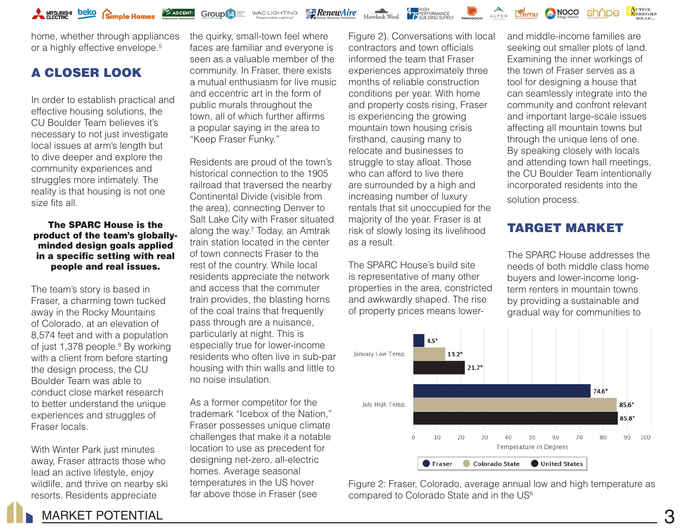

**Group 14** Elignal MAC LIGHTING

home, whether through appliances or a highly effective envelope.<sup>5</sup>

# A CLOSER LOOK

In order to establish practical and effective housing solutions, the CU Boulder Team believes it's necessary to not just investigate local issues at arm's length but to dive deeper and explore the community experiences and struggles more intimately. The reality is that housing is not one size fits all.

#### The SPARC House is the product of the team's globallyminded design goals applied in a specific setting with real people and real issues.

The team's story is based in Fraser, a charming town tucked away in the Rocky Mountains of Colorado, at an elevation of 8,574 feet and with a population of just 1,378 people.<sup>6</sup> By working with a client from before starting the design process, the CU Boulder Team was able to conduct close market research to better understand the unique experiences and struggles of Fraser locals.

With Winter Park just minutes away, Fraser attracts those who lead an active lifestyle, enjoy wildlife, and thrive on nearby ski resorts. Residents appreciate

the quirky, small-town feel where faces are familiar and everyone is seen as a valuable member of the community. In Fraser, there exists a mutual enthusiasm for live music and eccentric art in the form of public murals throughout the town, all of which further affirms a popular saying in the area to "Keep Fraser Funky."

**Za RenewAire** 

Residents are proud of the town's historical connection to the 1905 railroad that traversed the nearby Continental Divide (visible from the area), connecting Denver to Salt Lake City with Fraser situated along the way.7 Today, an Amtrak train station located in the center of town connects Fraser to the rest of the country. While local residents appreciate the network and access that the commuter train provides, the blasting horns of the coal trains that frequently pass through are a nuisance, particularly at night. This is especially true for lower-income residents who often live in sub-par housing with thin walls and little to no noise insulation.

As a former competitor for the trademark "Icebox of the Nation," Fraser possesses unique climate challenges that make it a notable location to use as precedent for designing net-zero, all-electric homes. Average seasonal temperatures in the US hover far above those in Fraser (see

Figure 2). Conversations with local contractors and town officials informed the team that Fraser experiences approximately three months of reliable construction conditions per year. With home and property costs rising, Fraser is experiencing the growing mountain town housing crisis firsthand, causing many to relocate and businesses to struggle to stay afloat. Those who can afford to live there are surrounded by a high and increasing number of luxury rentals that sit unoccupied for the majority of the year. Fraser is at risk of slowly losing its livelihood as a result.

Havelock Wool **The REPARTMANCE** 

The SPARC House's build site is representative of many other properties in the area, constricted and awkwardly shaped. The rise of property prices means lower-

and middle-income families are seeking out smaller plots of land. Examining the inner workings of the town of Fraser serves as a tool for designing a house that can seamlessly integrate into the community and confront relevant and important large-scale issues affecting all mountain towns but through the unique lens of one. By speaking closely with locals and attending town hall meetings, the CU Boulder Team intentionally incorporated residents into the solution process.

NOCO

sh^ne

ACTIVE<br>ENERGIES

# TARGET MARKET

The SPARC House addresses the needs of both middle class home buyers and lower-income longterm renters in mountain towns by providing a sustainable and gradual way for communities to



Figure 2: Fraser, Colorado, average annual low and high temperature as compared to Colorado State and in the US<sup>6</sup>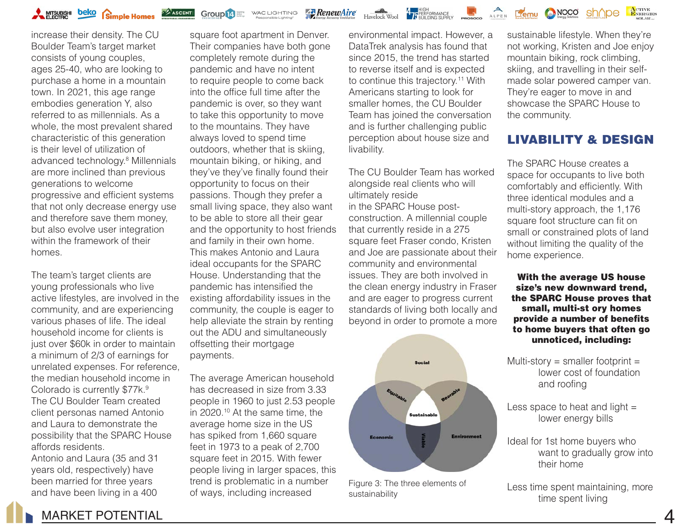

**Group 14** Street MAC LIGHTING

**Z**RenewAire



increase their density. The CU Boulder Team's target market consists of young couples, ages 25-40, who are looking to purchase a home in a mountain town. In 2021, this age range embodies generation Y, also referred to as millennials. As a whole, the most prevalent shared characteristic of this generation is their level of utilization of advanced technology.8 Millennials are more inclined than previous generations to welcome progressive and efficient systems that not only decrease energy use and therefore save them money, but also evolve user integration within the framework of their homes.

The team's target clients are young professionals who live active lifestyles, are involved in the community, and are experiencing various phases of life. The ideal household income for clients is just over \$60k in order to maintain a minimum of 2/3 of earnings for unrelated expenses. For reference, the median household income in Colorado is currently \$77k.<sup>9</sup> The CU Boulder Team created client personas named Antonio and Laura to demonstrate the possibility that the SPARC House affords residents.

Antonio and Laura (35 and 31 years old, respectively) have been married for three years and have been living in a 400

square foot apartment in Denver. Their companies have both gone completely remote during the pandemic and have no intent to require people to come back into the office full time after the pandemic is over, so they want to take this opportunity to move to the mountains. They have always loved to spend time outdoors, whether that is skiing, mountain biking, or hiking, and they've they've finally found their opportunity to focus on their passions. Though they prefer a small living space, they also want to be able to store all their gear and the opportunity to host friends and family in their own home. This makes Antonio and Laura ideal occupants for the SPARC House. Understanding that the pandemic has intensified the existing affordability issues in the community, the couple is eager to help alleviate the strain by renting out the ADU and simultaneously offsetting their mortgage payments.

The average American household has decreased in size from 3.33 people in 1960 to just 2.53 people in 2020.10 At the same time, the average home size in the US has spiked from 1,660 square feet in 1973 to a peak of 2,700 square feet in 2015. With fewer people living in larger spaces, this trend is problematic in a number of ways, including increased

environmental impact. However, a DataTrek analysis has found that since 2015, the trend has started to reverse itself and is expected to continue this trajectory.<sup>11</sup> With Americans starting to look for smaller homes, the CU Boulder Team has joined the conversation and is further challenging public perception about house size and livability.

The CU Boulder Team has worked alongside real clients who will ultimately reside in the SPARC House postconstruction. A millennial couple that currently reside in a 275 square feet Fraser condo, Kristen and Joe are passionate about their community and environmental issues. They are both involved in the clean energy industry in Fraser and are eager to progress current standards of living both locally and beyond in order to promote a more



Figure 3: The three elements of sustainability

sustainable lifestyle. When they're not working, Kristen and Joe enjoy mountain biking, rock climbing, skiing, and travelling in their selfmade solar powered camper van. They're eager to move in and showcase the SPARC House to the community.

sh∧pe

ACTIVE<br>ENERGIES

# LIVABILITY & DESIGN

The SPARC House creates a space for occupants to live both comfortably and efficiently. With three identical modules and a multi-story approach, the 1,176 square foot structure can fit on small or constrained plots of land without limiting the quality of the home experience.

With the average US house size's new downward trend, the SPARC House proves that small, multi-st ory homes provide a number of benefits to home buyers that often go unnoticed, including:

Multi-story = smaller footprint = lower cost of foundation and roofing

Less space to heat and light  $=$ lower energy bills

Ideal for 1st home buyers who want to gradually grow into their home

Less time spent maintaining, more time spent living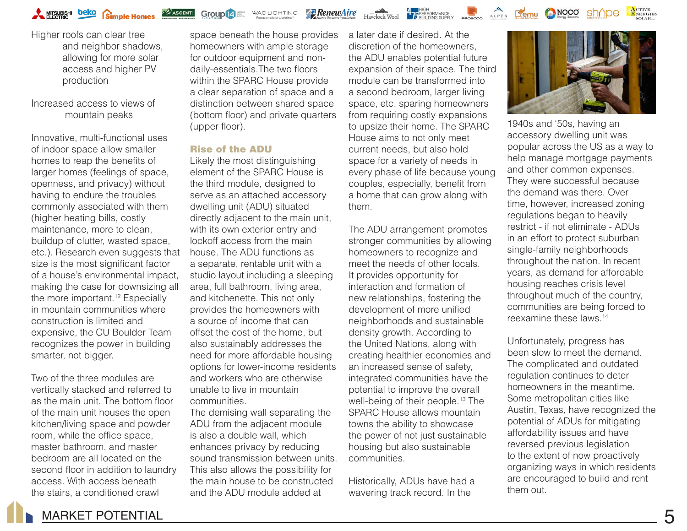**Group 14** Esting WAC LIGHTING

**RenewAire** 



Higher roofs can clear tree and neighbor shadows, allowing for more solar access and higher PV production

Increased access to views of mountain peaks

Innovative, multi-functional uses of indoor space allow smaller homes to reap the benefits of larger homes (feelings of space, openness, and privacy) without having to endure the troubles commonly associated with them (higher heating bills, costly maintenance, more to clean, buildup of clutter, wasted space, etc.). Research even suggests that size is the most significant factor of a house's environmental impact, making the case for downsizing all the more important.<sup>12</sup> Especially in mountain communities where construction is limited and expensive, the CU Boulder Team recognizes the power in building smarter, not bigger.

Two of the three modules are vertically stacked and referred to as the main unit. The bottom floor of the main unit houses the open kitchen/living space and powder room, while the office space, master bathroom, and master bedroom are all located on the second floor in addition to laundry access. With access beneath the stairs, a conditioned crawl

space beneath the house provides homeowners with ample storage for outdoor equipment and nondaily-essentials.The two floors within the SPARC House provide a clear separation of space and a distinction between shared space (bottom floor) and private quarters (upper floor).

#### Rise of the ADU

Likely the most distinguishing element of the SPARC House is the third module, designed to serve as an attached accessory dwelling unit (ADU) situated directly adjacent to the main unit, with its own exterior entry and lockoff access from the main house. The ADU functions as a separate, rentable unit with a studio layout including a sleeping area, full bathroom, living area, and kitchenette. This not only provides the homeowners with a source of income that can offset the cost of the home, but also sustainably addresses the need for more affordable housing options for lower-income residents and workers who are otherwise unable to live in mountain communities.

The demising wall separating the ADU from the adjacent module is also a double wall, which enhances privacy by reducing sound transmission between units. This also allows the possibility for the main house to be constructed and the ADU module added at

a later date if desired. At the discretion of the homeowners, the ADU enables potential future expansion of their space. The third module can be transformed into a second bedroom, larger living space, etc. sparing homeowners from requiring costly expansions to upsize their home. The SPARC House aims to not only meet current needs, but also hold space for a variety of needs in every phase of life because young couples, especially, benefit from a home that can grow along with them.

The ADU arrangement promotes stronger communities by allowing homeowners to recognize and meet the needs of other locals. It provides opportunity for interaction and formation of new relationships, fostering the development of more unified neighborhoods and sustainable density growth. According to the United Nations, along with creating healthier economies and an increased sense of safety, integrated communities have the potential to improve the overall well-being of their people.<sup>13</sup> The SPARC House allows mountain towns the ability to showcase the power of not just sustainable housing but also sustainable communities.

Historically, ADUs have had a wavering track record. In the



1940s and '50s, having an accessory dwelling unit was popular across the US as a way to help manage mortgage payments and other common expenses. They were successful because the demand was there. Over time, however, increased zoning regulations began to heavily restrict - if not eliminate - ADUs in an effort to protect suburban single-family neighborhoods throughout the nation. In recent years, as demand for affordable housing reaches crisis level throughout much of the country, communities are being forced to reexamine these laws.14

Unfortunately, progress has been slow to meet the demand. The complicated and outdated regulation continues to deter homeowners in the meantime. Some metropolitan cities like Austin, Texas, have recognized the potential of ADUs for mitigating affordability issues and have reversed previous legislation to the extent of now proactively organizing ways in which residents are encouraged to build and rent them out.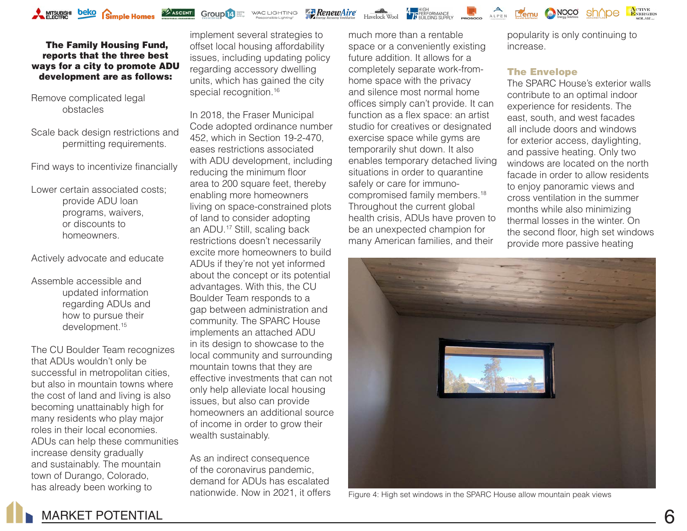

**Group 14** WAC LIGHTING

**RenewAire** 

Havelock Wool 17 BENDING SUPPLY PROGRAM ALPEN EGMU CONGO



Remove complicated legal obstacles

Scale back design restrictions and permitting requirements.

Find ways to incentivize financially

Lower certain associated costs; provide ADU loan programs, waivers, or discounts to homeowners.

Actively advocate and educate

Assemble accessible and updated information regarding ADUs and how to pursue their development.<sup>15</sup>

The CU Boulder Team recognizes that ADUs wouldn't only be successful in metropolitan cities, but also in mountain towns where the cost of land and living is also becoming unattainably high for many residents who play major roles in their local economies. ADUs can help these communities increase density gradually and sustainably. The mountain town of Durango, Colorado, has already been working to

implement several strategies to offset local housing affordability issues, including updating policy regarding accessory dwelling units, which has gained the city special recognition.<sup>16</sup>

In 2018, the Fraser Municipal Code adopted ordinance number 452, which in Section 19-2-470, eases restrictions associated with ADU development, including reducing the minimum floor area to 200 square feet, thereby enabling more homeowners living on space-constrained plots of land to consider adopting an ADU.17 Still, scaling back restrictions doesn't necessarily excite more homeowners to build ADUs if they're not yet informed about the concept or its potential advantages. With this, the CU Boulder Team responds to a gap between administration and community. The SPARC House implements an attached ADU in its design to showcase to the local community and surrounding mountain towns that they are effective investments that can not only help alleviate local housing issues, but also can provide homeowners an additional source of income in order to grow their wealth sustainably.

As an indirect consequence of the coronavirus pandemic, demand for ADUs has escalated nationwide. Now in 2021, it offers

much more than a rentable space or a conveniently existing future addition. It allows for a completely separate work-fromhome space with the privacy and silence most normal home offices simply can't provide. It can function as a flex space: an artist studio for creatives or designated exercise space while gyms are temporarily shut down. It also enables temporary detached living situations in order to quarantine safely or care for immunocompromised family members.18 Throughout the current global health crisis, ADUs have proven to be an unexpected champion for many American families, and their

popularity is only continuing to increase.

sh∧pe

#### The Envelope

The SPARC House's exterior walls contribute to an optimal indoor experience for residents. The east, south, and west facades all include doors and windows for exterior access, daylighting, and passive heating. Only two windows are located on the north facade in order to allow residents to enjoy panoramic views and cross ventilation in the summer months while also minimizing thermal losses in the winter. On the second floor, high set windows provide more passive heating



Figure 4: High set windows in the SPARC House allow mountain peak views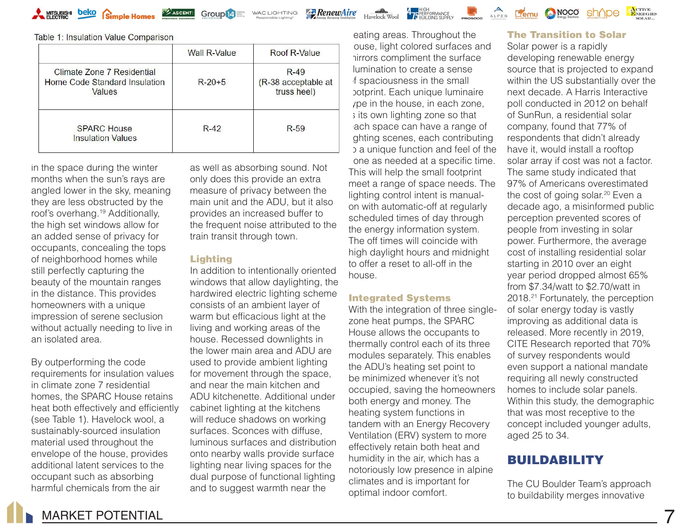

**Group 14** English WAC LIGHTING

**RenewAire** 

Havelock Wool **The Representation Construction**<br>Havelock Wool **The BUILDING SUPPLY** 



|                                                                       | <b>Wall R-Value</b> | Roof R-Value                                 |
|-----------------------------------------------------------------------|---------------------|----------------------------------------------|
| Climate Zone 7 Residential<br>Home Code Standard Insulation<br>Values | $R-20+5$            | $R-49$<br>(R-38 acceptable at<br>truss heel) |
| <b>SPARC House</b><br><b>Insulation Values</b>                        | $R-42$              | $R-59$                                       |

in the space during the winter months when the sun's rays are angled lower in the sky, meaning they are less obstructed by the roof's overhang.<sup>19</sup> Additionally, the high set windows allow for an added sense of privacy for occupants, concealing the tops of neighborhood homes while still perfectly capturing the beauty of the mountain ranges in the distance. This provides homeowners with a unique impression of serene seclusion without actually needing to live in an isolated area.

By outperforming the code requirements for insulation values in climate zone 7 residential homes, the SPARC House retains heat both effectively and efficiently (see Table 1). Havelock wool, a sustainably-sourced insulation material used throughout the envelope of the house, provides additional latent services to the occupant such as absorbing harmful chemicals from the air

as well as absorbing sound. Not only does this provide an extra measure of privacy between the main unit and the ADU, but it also provides an increased buffer to the frequent noise attributed to the train transit through town.

#### Lighting

In addition to intentionally oriented windows that allow daylighting, the hardwired electric lighting scheme consists of an ambient layer of warm but efficacious light at the living and working areas of the house. Recessed downlights in the lower main area and ADU are used to provide ambient lighting for movement through the space, and near the main kitchen and ADU kitchenette. Additional under cabinet lighting at the kitchens will reduce shadows on working surfaces. Sconces with diffuse, luminous surfaces and distribution onto nearby walls provide surface lighting near living spaces for the dual purpose of functional lighting and to suggest warmth near the

eating areas. Throughout the ouse, light colored surfaces and mirrors compliment the surface illumination to create a sense f spaciousness in the small potprint. Each unique luminaire ype in the house, in each zone, **is its own lighting zone so that** ach space can have a range of ghting scenes, each contributing **b** a unique function and feel of the one as needed at a specific time. This will help the small footprint meet a range of space needs. The lighting control intent is manualon with automatic-off at regularly scheduled times of day through the energy information system. The off times will coincide with high daylight hours and midnight to offer a reset to all-off in the house.

#### Integrated Systems

With the integration of three singlezone heat pumps, the SPARC House allows the occupants to thermally control each of its three modules separately. This enables the ADU's heating set point to be minimized whenever it's not occupied, saving the homeowners both energy and money. The heating system functions in tandem with an Energy Recovery Ventilation (ERV) system to more effectively retain both heat and humidity in the air, which has a notoriously low presence in alpine climates and is important for optimal indoor comfort.

#### The Transition to Solar

NOCO

ACTIVE<br>ENERGIES

sh^ne

Solar power is a rapidly developing renewable energy source that is projected to expand within the US substantially over the next decade. A Harris Interactive poll conducted in 2012 on behalf of SunRun, a residential solar company, found that 77% of respondents that didn't already have it, would install a rooftop solar array if cost was not a factor. The same study indicated that 97% of Americans overestimated the cost of going solar.<sup>20</sup> Even a decade ago, a misinformed public perception prevented scores of people from investing in solar power. Furthermore, the average cost of installing residential solar starting in 2010 over an eight year period dropped almost 65% from \$7.34/watt to \$2.70/watt in 2018.<sup>21</sup> Fortunately, the perception of solar energy today is vastly improving as additional data is released. More recently in 2019, CITE Research reported that 70% of survey respondents would even support a national mandate requiring all newly constructed homes to include solar panels. Within this study, the demographic that was most receptive to the concept included younger adults, aged 25 to 34.

### BUILDABILITY

The CU Boulder Team's approach to buildability merges innovative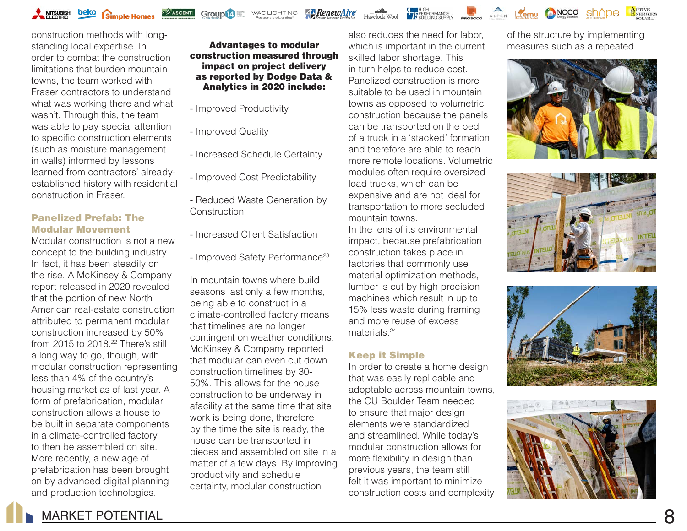

construction methods with longstanding local expertise. In order to combat the construction limitations that burden mountain towns, the team worked with Fraser contractors to understand what was working there and what wasn't. Through this, the team was able to pay special attention to specific construction elements (such as moisture management in walls) informed by lessons learned from contractors' alreadyestablished history with residential construction in Fraser.

#### Panelized Prefab: The Modular Movement

Modular construction is not a new concept to the building industry. In fact, it has been steadily on the rise. A McKinsey & Company report released in 2020 revealed that the portion of new North American real-estate construction attributed to permanent modular construction increased by 50% from 2015 to 2018.<sup>22</sup> There's still a long way to go, though, with modular construction representing less than 4% of the country's housing market as of last year. A form of prefabrication, modular construction allows a house to be built in separate components in a climate-controlled factory to then be assembled on site. More recently, a new age of prefabrication has been brought on by advanced digital planning and production technologies.

#### Advantages to modular construction measured through impact on project delivery as reported by Dodge Data & Analytics in 2020 include:

WAC LIGHTING

**RenewAire** 

- Improved Productivity
- Improved Quality

Group<sup>14</sup>

- Increased Schedule Certainty
- Improved Cost Predictability
- Reduced Waste Generation by **Construction**
- Increased Client Satisfaction
- Improved Safety Performance<sup>23</sup>

In mountain towns where build seasons last only a few months, being able to construct in a climate-controlled factory means that timelines are no longer contingent on weather conditions. McKinsey & Company reported that modular can even cut down construction timelines by 30- 50%. This allows for the house construction to be underway in afacility at the same time that site work is being done, therefore by the time the site is ready, the house can be transported in pieces and assembled on site in a matter of a few days. By improving productivity and schedule certainty, modular construction

also reduces the need for labor, which is important in the current skilled labor shortage. This in turn helps to reduce cost. Panelized construction is more suitable to be used in mountain towns as opposed to volumetric construction because the panels can be transported on the bed of a truck in a 'stacked' formation and therefore are able to reach more remote locations. Volumetric modules often require oversized load trucks, which can be expensive and are not ideal for transportation to more secluded mountain towns.

**4**<br>**17 PERFORMANCE**<br>**17 REBUDING SUPPLY** 

In the lens of its environmental impact, because prefabrication construction takes place in factories that commonly use material optimization methods, lumber is cut by high precision machines which result in up to 15% less waste during framing and more reuse of excess materials.24

#### Keep it Simple

In order to create a home design that was easily replicable and adoptable across mountain towns, the CU Boulder Team needed to ensure that major design elements were standardized and streamlined. While today's modular construction allows for more flexibility in design than previous years, the team still felt it was important to minimize construction costs and complexity

of the structure by implementing measures such as a repeated

NOCO

ALPEN **LIEMU** 

ACTIVE<br>ENERGIES







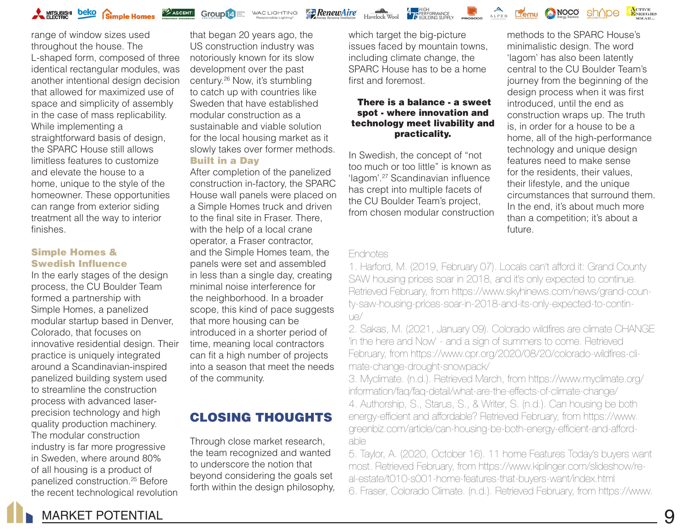**Group 14** WAC LIGHTING

**Za RenewAire** 



range of window sizes used throughout the house. The L-shaped form, composed of three identical rectangular modules, was another intentional design decision that allowed for maximized use of space and simplicity of assembly in the case of mass replicability. While implementing a straightforward basis of design, the SPARC House still allows limitless features to customize and elevate the house to a home, unique to the style of the homeowner. These opportunities can range from exterior siding treatment all the way to interior finishes.

#### Simple Homes & Swedish Influence

In the early stages of the design process, the CU Boulder Team formed a partnership with Simple Homes, a panelized modular startup based in Denver, Colorado, that focuses on innovative residential design. Their practice is uniquely integrated around a Scandinavian-inspired panelized building system used to streamline the construction process with advanced laserprecision technology and high quality production machinery. The modular construction industry is far more progressive in Sweden, where around 80% of all housing is a product of panelized construction.25 Before the recent technological revolution

that began 20 years ago, the US construction industry was notoriously known for its slow development over the past century.26 Now, it's stumbling to catch up with countries like Sweden that have established modular construction as a sustainable and viable solution for the local housing market as it slowly takes over former methods. Built in a Day

After completion of the panelized construction in-factory, the SPARC House wall panels were placed on a Simple Homes truck and driven to the final site in Fraser. There, with the help of a local crane operator, a Fraser contractor, and the Simple Homes team, the panels were set and assembled in less than a single day, creating minimal noise interference for the neighborhood. In a broader scope, this kind of pace suggests that more housing can be introduced in a shorter period of time, meaning local contractors can fit a high number of projects into a season that meet the needs of the community.

# CLOSING THOUGHTS

Through close market research, the team recognized and wanted to underscore the notion that beyond considering the goals set forth within the design philosophy, which target the big-picture issues faced by mountain towns, including climate change, the SPARC House has to be a home first and foremost.

#### There is a balance - a sweet spot - where innovation and technology meet livability and practicality.

In Swedish, the concept of "not too much or too little" is known as 'lagom'.27 Scandinavian influence has crept into multiple facets of the CU Boulder Team's project, from chosen modular construction

methods to the SPARC House's minimalistic design. The word 'lagom' has also been latently central to the CU Boulder Team's journey from the beginning of the design process when it was first introduced, until the end as construction wraps up. The truth is, in order for a house to be a home, all of the high-performance technology and unique design features need to make sense for the residents, their values, their lifestyle, and the unique circumstances that surround them. In the end, it's about much more than a competition; it's about a future.

#### Endnotes

1. Harford, M. (2019, February 07). Locals can't afford it: Grand County SAW housing prices soar in 2018, and it's only expected to continue. Retrieved February, from https://www.skyhinews.com/news/grand-county-saw-housing-prices-soar-in-2018-and-its-only-expected-to-continue/

2. Sakas, M. (2021, January 09). Colorado wildfires are climate CHANGE 'in the here and Now' - and a sign of summers to come. Retrieved February, from https://www.cpr.org/2020/08/20/colorado-wildfires-climate-change-drought-snowpack/

3. Myclimate. (n.d.). Retrieved March, from https://www.myclimate.org/ information/faq/faq-detail/what-are-the-effects-of-climate-change/ 4. Authorship, S., Starus, S., & Writer, S. (n.d.). Can housing be both energy-efficient and affordable? Retrieved February, from https://www. greenbiz.com/article/can-housing-be-both-energy-efficient-and-affordable

5. Taylor, A. (2020, October 16). 11 home Features Today's buyers want most. Retrieved February, from https://www.kiplinger.com/slideshow/real-estate/t010-s001-home-features-that-buyers-want/index.html 6. Fraser, Colorado Climate. (n.d.). Retrieved February, from https://www.